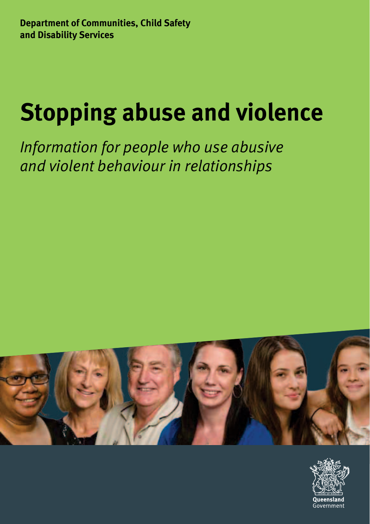# **Stopping abuse and violence**

*Information for people who use abusive and violent behaviour in relationships*



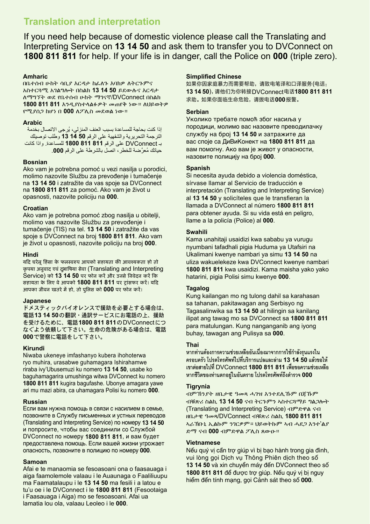### **Translation and interpretation**

If you need help because of domestic violence please call the Translating and Interpreting Service on **13 14 50** and ask them to transfer you to DVConnect on **1800 811 811** for help. If your life is in danger, call the Police on **000** (triple zero).

#### **Amharic**

በቤተሰብ ሁከት ሳቢያ እርዳታ ከፈለጉ እባክዎ ለትርጉምና አስተርጓሚ አገልግሎት በስልክ **13 14 50** ይደውሉና እርዳታ ለማግኘት ወደ የቤተሰብ ሁከት ማገናኛ/DVConnect በስልክ **1800 811 811** እንዲያስተላልፉዎት መጠየቅ ነው። ለህይወትዎ የሚያሰጋ ከሆነ በ **000** ለፖሊስ መደወል ነው።

#### **Arabic**

ُ إذا كنت بحاجة للمساعدة بسبب العنف المنزلي، يرجى االتصال بخدمة الترجمة التحريرية والشفهية على الرقم **50 14 13** وطلب توصيلك بـ DVConnect على الرقم **811 811 1800** للمساعدة. واذا كانت ُ حياتك م َّعرضة للخطر، اتصل بالشرطة على الرقم .**000**

#### **Bosnian**

Ako vam je potrebna pomoć u vezi nasilja u porodici, molimo nazovite Službu za prevođenje i tumačenje na **13 14 50** i zatražite da vas spoje sa DVConnect na **1800 811 811** za pomoć. Ako vam je život u opasnosti, nazovite policiju na **000**.

#### **Croatian**

Ako vam je potrebna pomoć zbog nasilja u obitelji, molimo vas nazovite Službu za prevođenje i tumačenje (TIS) na tel. **13 14 50** i zatražite da vas spoje s DVConnect na broj **1800 811 811**. Ako vam je život u opasnosti, nazovite policiju na broj **000**.

#### **Hindi**

यदि घरेलू हिंसा के फलस्वरुप आपको सहायता की आवश्यकता हो तो कपया अनुवाद एवं दभाषिया सेवा (Translating and Interpreting Service) को **13 14 50** पर फोन करें और उनसे षन्वेिन करें षक सिायता के षलए ्वे आपको **1800 811 811** पर ट्ांसफर करें। यदि आपका जी्वन खतरे में िो, तो पुषलस को **000** पर फोन करें।

#### **Japanese**

ドメスティックバイオレンスで援助を必要とする場合は、 電話**13 14 50**の翻訳・通訳サービスにお電話の上、援助 を受けるために、電話**1800 811 811**のDVConnectにつ なぐよう依頼して下さい。生命の危険がある場合は、電話 **000**で警察に電話をして下さい。

#### **Kirundi**

Niwaba ukeneye imfashanyo kubera ihohoterwa ryo muhira, urasabwe guhamagara Ishirahamwe riraba ivy'Ubusemuzi ku nomero **13 14 50**, usabe ko baguhamagarira umushinga witwa DVConnect ku nomero **1800 811 811** kugira bagufashe. Ubonye amagara yawe ari mu mazi abira, ca uhamagara Polisi ku nomero **000**.

#### **Russian**

Если вам нужна помощь в связи с насилием в семье, позвоните в Службу письменных и устных переводов (Translating and Interpreting Service) по номеру **13 14 50** и попросите, чтобы вас соединили со Службой DVConnect по номеру **1800 811 811**, и вам будет предоставлена помощь. Если вашей жизни угрожает опасность, позвоните в полицию по номеру **000**.

#### **Samoan**

Afai e te manaomia se fesoasoani ona o faasauaga i aiga faamolemole valaau i le Auaunaga o Faaliliuupu ma Faamatalaupu i le **13 14 50** ma fesili i a latou e tu'u oe i le DVConnect i le **1800 811 811** (Fesootaiga i Faasauaga i Aiga) mo se fesoasoani. Afai ua lamatia lou ola, valaau Leoleo i le **000**.

#### **Simplified Chinese**

如果你因家庭暴力而需要帮助,请致电笔译和口译服务(电话: **13 14 50**),请他们为你转接DVConnect电话**1800 811 811**  求助。如果你面临生命危险,请拨电话**000**报警。

#### **Serbian**

Уколико требате помоћ због насиља у породици, молимо вас назовите преводилачку службу на број **13 14 50** и затражите да вас споје са ДиВиКонект на **1800 811 811** да вам помогну. Ако вам је живот у опасности, назовите полицију на број **000**.

#### **Spanish**

Si necesita ayuda debido a violencia doméstica, sírvase llamar al Servicio de traducción e interpretación (Translating and Interpreting Service) al **13 14 50** y solicíteles que le transfieran la llamada a DVConnect al número **1800 811 811** para obtener ayuda. Si su vida está en peligro, llame a la policía (Police) al **000**.

#### **Swahili**

Kama unahitaji usaidizi kwa sababu ya vurugu nyumbani tafadhali pigia Huduma ya Utafsiri na Ukalimani kwenye nambari ya simu **13 14 50** na uliza wakuelekeze kwa DVConnect kwenye nambari **1800 811 811** kwa usaidizi. Kama maisha yako yako hatarini, pigia Polisi simu kwenye **000**.

#### **Tagalog**

Kung kailangan mo ng tulong dahil sa karahasan sa tahanan, pakitawagan ang Serbisyo ng Tagasalinwika sa **13 14 50** at hilingin sa kanilang ilipat ang tawag mo sa DVConnect sa **1800 811 811** para matulungan. Kung nanganganib ang iyong buhay, tawagan ang Pulisya sa **000**.

#### **Thai**

หากท่านต้องการความช่วยเหลืออันเนื่องมาจากการใช้กำลังรนแรงใน **ครอบครัว โปรดโทรศัพท์ไปที่บริการแปลและล่าม 13 14 50 แล้วขอให้ เขาต่อสายไปที่** DVConnect **1800 811 811 เพื่อขอความช่วยเหลือ หากชีวิตของท่านตกอยู่ในอันตราย โปรดโทรศัพท์ถึงต�ารวจ 000**

#### **Tigrynia**

ብምኽንያት ዘቤታዊ ዓመጻ ሓገዝ እንተደሊኹም በጃኹም ብቑጽሪ ስልኪ **13 14 50** ናብ ትርጉምን ኣስተርጓማይ ግልጋሎት (Translating and Interpreting Service) ብምድዋል ናብ ዘቤታዊ ዓመጻ/DVConnect ብቑጽሪ ስልኪ **1800 811 811** ኣራኽቡኒ ኢልኩም ንገርዎም። ህይወትኩም ኣብ ሓደጋ እንተ'ልያ ድማ ናብ **000** ብምድዋል ፖሊስ ጸውዑ።

#### **Vietnamese**

Nếu quý vị cần trợ giúp vì bị bạo hành trong gia đình, vui lòng gọi Dịch vụ Thông Phiên dịch theo số **13 14 50** và xin chuyển máy đến DVConnect theo số **1800 811 811** để được trợ giúp. Nếu quý vị bị nguy hiểm đến tính mạng, gọi Cảnh sát theo số **000**.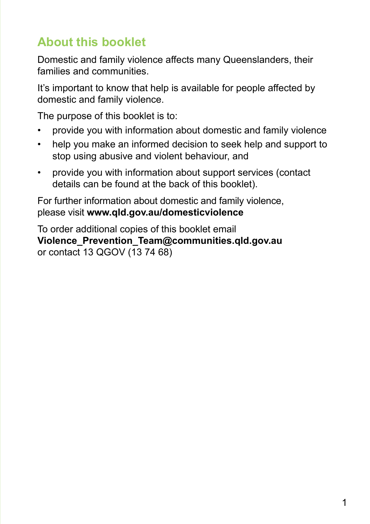# **About this booklet**

Domestic and family violence affects many Queenslanders, their families and communities.

It's important to know that help is available for people affected by domestic and family violence.

The purpose of this booklet is to:

- provide you with information about domestic and family violence
- help you make an informed decision to seek help and support to stop using abusive and violent behaviour, and
- provide you with information about support services (contact details can be found at the back of this booklet).

For further information about domestic and family violence, please visit **www.qld.gov.au/domesticviolence**

To order additional copies of this booklet email **Violence\_Prevention\_Team@communities.qld.gov.au** or contact 13 QGOV (13 74 68)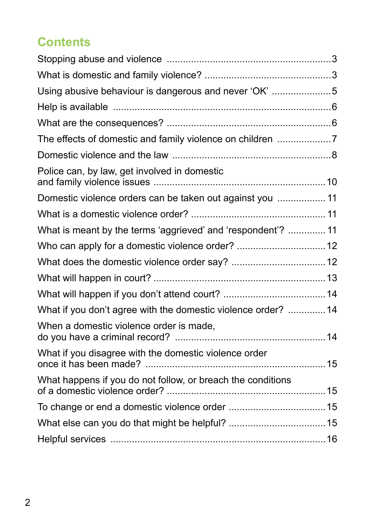# **Contents**

| Using abusive behaviour is dangerous and never 'OK' 5        |  |
|--------------------------------------------------------------|--|
|                                                              |  |
|                                                              |  |
| The effects of domestic and family violence on children 7    |  |
|                                                              |  |
| Police can, by law, get involved in domestic                 |  |
| Domestic violence orders can be taken out against you  11    |  |
|                                                              |  |
| What is meant by the terms 'aggrieved' and 'respondent'?  11 |  |
| Who can apply for a domestic violence order? 12              |  |
|                                                              |  |
|                                                              |  |
|                                                              |  |
| What if you don't agree with the domestic violence order? 14 |  |
| When a domestic violence order is made,                      |  |
| What if you disagree with the domestic violence order        |  |
| What happens if you do not follow, or breach the conditions  |  |
|                                                              |  |
|                                                              |  |
|                                                              |  |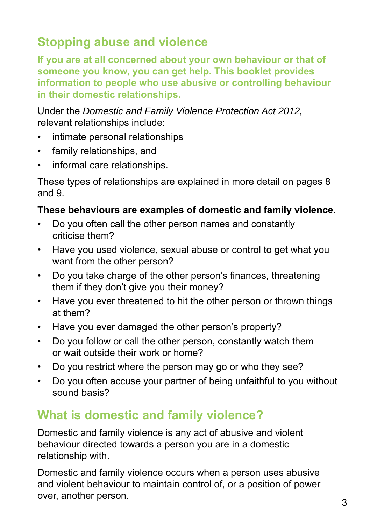# **Stopping abuse and violence**

**If you are at all concerned about your own behaviour or that of someone you know, you can get help. This booklet provides information to people who use abusive or controlling behaviour in their domestic relationships.**

Under the *Domestic and Family Violence Protection Act 2012,*  relevant relationships include:

- intimate personal relationships
- • family relationships, and
- • informal care relationships.

These types of relationships are explained in more detail on pages 8 and 9.

### **These behaviours are examples of domestic and family violence.**

- • Do you often call the other person names and constantly criticise them?
- Have you used violence, sexual abuse or control to get what you want from the other person?
- Do you take charge of the other person's finances, threatening them if they don't give you their money?
- Have you ever threatened to hit the other person or thrown things at them?
- Have you ever damaged the other person's property?
- Do you follow or call the other person, constantly watch them or wait outside their work or home?
- Do you restrict where the person may go or who they see?
- Do you often accuse your partner of being unfaithful to you without sound basis?

# **What is domestic and family violence?**

Domestic and family violence is any act of abusive and violent behaviour directed towards a person you are in a domestic relationship with.

Domestic and family violence occurs when a person uses abusive and violent behaviour to maintain control of, or a position of power over, another person.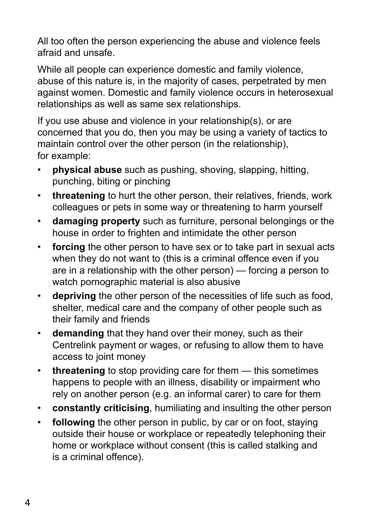All too often the person experiencing the abuse and violence feels afraid and unsafe.

While all people can experience domestic and family violence, abuse of this nature is, in the majority of cases, perpetrated by men against women. Domestic and family violence occurs in heterosexual relationships as well as same sex relationships.

If you use abuse and violence in your relationship(s), or are concerned that you do, then you may be using a variety of tactics to maintain control over the other person (in the relationship), for example:

- **physical abuse** such as pushing, shoving, slapping, hitting, punching, biting or pinching
- • **threatening** to hurt the other person, their relatives, friends, work colleagues or pets in some way or threatening to harm yourself
- • **damaging property** such as furniture, personal belongings or the house in order to frighten and intimidate the other person
- **forcing** the other person to have sex or to take part in sexual acts when they do not want to (this is a criminal offence even if you are in a relationship with the other person) — forcing a person to watch pornographic material is also abusive
- • **depriving** the other person of the necessities of life such as food, shelter, medical care and the company of other people such as their family and friends
- • **demanding** that they hand over their money, such as their Centrelink payment or wages, or refusing to allow them to have access to joint money
- threatening to stop providing care for them this sometimes happens to people with an illness, disability or impairment who rely on another person (e.g. an informal carer) to care for them
- • **constantly criticising**, humiliating and insulting the other person
- **following** the other person in public, by car or on foot, staying outside their house or workplace or repeatedly telephoning their home or workplace without consent (this is called stalking and is a criminal offence).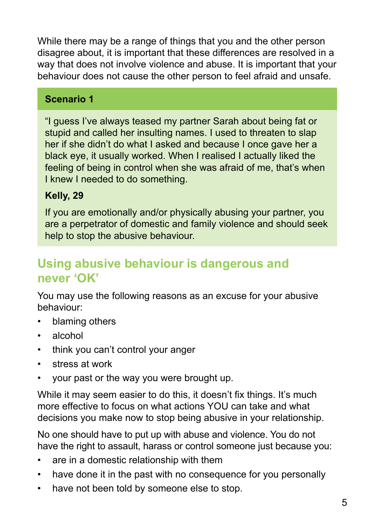While there may be a range of things that you and the other person disagree about, it is important that these differences are resolved in a way that does not involve violence and abuse. It is important that your behaviour does not cause the other person to feel afraid and unsafe.

### **Scenario 1**

"I guess I've always teased my partner Sarah about being fat or stupid and called her insulting names. I used to threaten to slap her if she didn't do what I asked and because I once gave her a black eye, it usually worked. When I realised I actually liked the feeling of being in control when she was afraid of me, that's when I knew I needed to do something.

### **Kelly, 29**

If you are emotionally and/or physically abusing your partner, you are a perpetrator of domestic and family violence and should seek help to stop the abusive behaviour.

# **Using abusive behaviour is dangerous and never 'OK'**

You may use the following reasons as an excuse for your abusive behaviour:

- blaming others
- alcohol
- think you can't control your anger
- stress at work
- your past or the way you were brought up.

While it may seem easier to do this, it doesn't fix things. It's much more effective to focus on what actions YOU can take and what decisions you make now to stop being abusive in your relationship.

No one should have to put up with abuse and violence. You do not have the right to assault, harass or control someone just because you:

- are in a domestic relationship with them
- have done it in the past with no consequence for you personally
- have not been told by someone else to stop.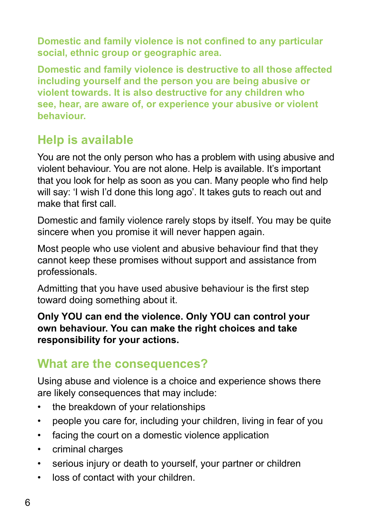**Domestic and family violence is not confined to any particular social, ethnic group or geographic area.**

**Domestic and family violence is destructive to all those affected including yourself and the person you are being abusive or violent towards. It is also destructive for any children who see, hear, are aware of, or experience your abusive or violent behaviour.** 

# **Help is available**

You are not the only person who has a problem with using abusive and violent behaviour. You are not alone. Help is available. It's important that you look for help as soon as you can. Many people who find help will say: 'I wish I'd done this long ago'. It takes guts to reach out and make that first call.

Domestic and family violence rarely stops by itself. You may be quite sincere when you promise it will never happen again.

Most people who use violent and abusive behaviour find that they cannot keep these promises without support and assistance from professionals.

Admitting that you have used abusive behaviour is the first step toward doing something about it.

**Only YOU can end the violence. Only YOU can control your own behaviour. You can make the right choices and take responsibility for your actions.**

# **What are the consequences?**

Using abuse and violence is a choice and experience shows there are likely consequences that may include:

- the breakdown of your relationships
- people you care for, including your children, living in fear of you
- facing the court on a domestic violence application
- • criminal charges
- serious injury or death to yourself, your partner or children
- • loss of contact with your children.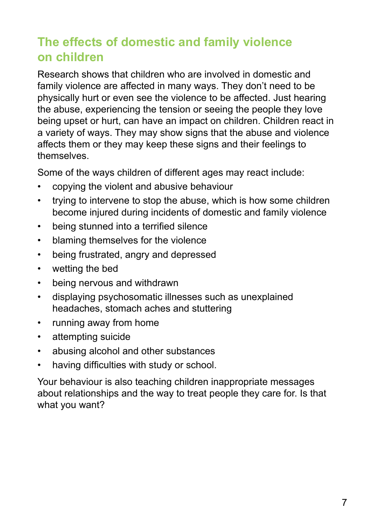# **The effects of domestic and family violence on children**

Research shows that children who are involved in domestic and family violence are affected in many ways. They don't need to be physically hurt or even see the violence to be affected. Just hearing the abuse, experiencing the tension or seeing the people they love being upset or hurt, can have an impact on children. Children react in a variety of ways. They may show signs that the abuse and violence affects them or they may keep these signs and their feelings to themselves.

Some of the ways children of different ages may react include:

- copying the violent and abusive behaviour
- trying to intervene to stop the abuse, which is how some children become injured during incidents of domestic and family violence
- being stunned into a terrified silence
- • blaming themselves for the violence
- • being frustrated, angry and depressed
- wetting the bed
- • being nervous and withdrawn
- • displaying psychosomatic illnesses such as unexplained headaches, stomach aches and stuttering
- • running away from home
- • attempting suicide
- abusing alcohol and other substances
- having difficulties with study or school.

Your behaviour is also teaching children inappropriate messages about relationships and the way to treat people they care for. Is that what you want?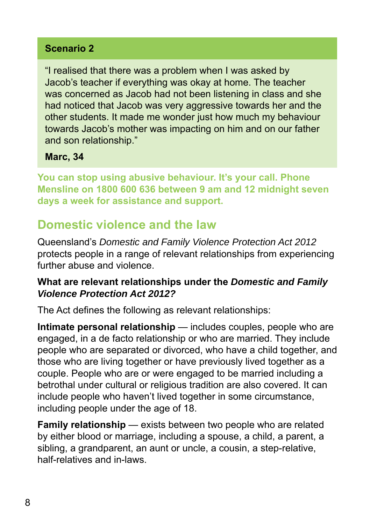### **Scenario 2**

"I realised that there was a problem when I was asked by Jacob's teacher if everything was okay at home. The teacher was concerned as Jacob had not been listening in class and she had noticed that Jacob was very aggressive towards her and the other students. It made me wonder just how much my behaviour towards Jacob's mother was impacting on him and on our father and son relationship."

#### **Marc, 34**

**You can stop using abusive behaviour. It's your call. Phone Mensline on 1800 600 636 between 9 am and 12 midnight seven days a week for assistance and support.**

## **Domestic violence and the law**

Queensland's *Domestic and Family Violence Protection Act 2012*  protects people in a range of relevant relationships from experiencing further abuse and violence.

#### **What are relevant relationships under the** *Domestic and Family Violence Protection Act 2012?*

The Act defines the following as relevant relationships:

**Intimate personal relationship** — includes couples, people who are engaged, in a de facto relationship or who are married. They include people who are separated or divorced, who have a child together, and those who are living together or have previously lived together as a couple. People who are or were engaged to be married including a betrothal under cultural or religious tradition are also covered. It can include people who haven't lived together in some circumstance, including people under the age of 18.

**Family relationship** — exists between two people who are related by either blood or marriage, including a spouse, a child, a parent, a sibling, a grandparent, an aunt or uncle, a cousin, a step-relative, half-relatives and in-laws.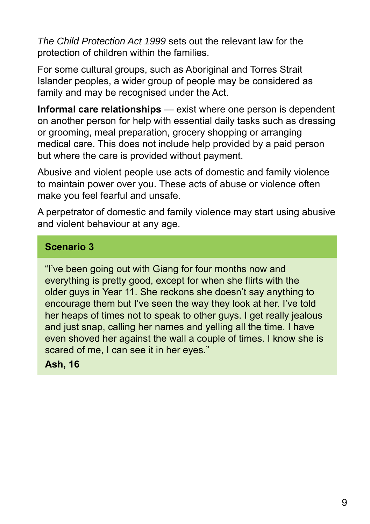*The Child Protection Act 1999* sets out the relevant law for the protection of children within the families.

For some cultural groups, such as Aboriginal and Torres Strait Islander peoples, a wider group of people may be considered as family and may be recognised under the Act.

**Informal care relationships** — exist where one person is dependent on another person for help with essential daily tasks such as dressing or grooming, meal preparation, grocery shopping or arranging medical care. This does not include help provided by a paid person but where the care is provided without payment.

Abusive and violent people use acts of domestic and family violence to maintain power over you. These acts of abuse or violence often make you feel fearful and unsafe.

A perpetrator of domestic and family violence may start using abusive and violent behaviour at any age.

#### **Scenario 3**

"I've been going out with Giang for four months now and everything is pretty good, except for when she flirts with the older guys in Year 11. She reckons she doesn't say anything to encourage them but I've seen the way they look at her. I've told her heaps of times not to speak to other guys. I get really jealous and just snap, calling her names and yelling all the time. I have even shoved her against the wall a couple of times. I know she is scared of me, I can see it in her eyes."

#### **Ash, 16**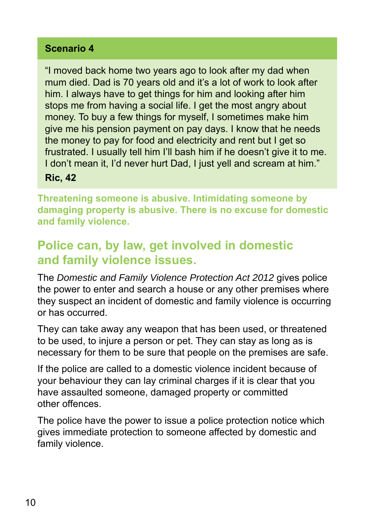### **Scenario 4**

"I moved back home two years ago to look after my dad when mum died. Dad is 70 years old and it's a lot of work to look after him. I always have to get things for him and looking after him stops me from having a social life. I get the most angry about money. To buy a few things for myself, I sometimes make him give me his pension payment on pay days. I know that he needs the money to pay for food and electricity and rent but I get so frustrated. I usually tell him I'll bash him if he doesn't give it to me. I don't mean it, I'd never hurt Dad, I just yell and scream at him." **Ric, 42**

**Threatening someone is abusive. Intimidating someone by damaging property is abusive. There is no excuse for domestic and family violence.**

# **Police can, by law, get involved in domestic and family violence issues.**

The *Domestic and Family Violence Protection Act 2012* gives police the power to enter and search a house or any other premises where they suspect an incident of domestic and family violence is occurring or has occurred.

They can take away any weapon that has been used, or threatened to be used, to injure a person or pet. They can stay as long as is necessary for them to be sure that people on the premises are safe.

If the police are called to a domestic violence incident because of your behaviour they can lay criminal charges if it is clear that you have assaulted someone, damaged property or committed other offences.

The police have the power to issue a police protection notice which gives immediate protection to someone affected by domestic and family violence.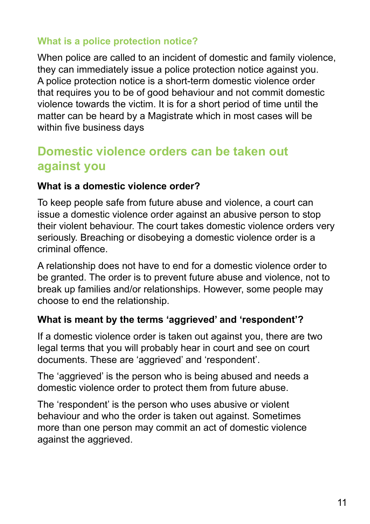### **What is a police protection notice?**

When police are called to an incident of domestic and family violence, they can immediately issue a police protection notice against you. A police protection notice is a short-term domestic violence order that requires you to be of good behaviour and not commit domestic violence towards the victim. It is for a short period of time until the matter can be heard by a Magistrate which in most cases will be within five business days

# **Domestic violence orders can be taken out against you**

#### **What is a domestic violence order?**

To keep people safe from future abuse and violence, a court can issue a domestic violence order against an abusive person to stop their violent behaviour. The court takes domestic violence orders very seriously. Breaching or disobeying a domestic violence order is a criminal offence.

A relationship does not have to end for a domestic violence order to be granted. The order is to prevent future abuse and violence, not to break up families and/or relationships. However, some people may choose to end the relationship.

### **What is meant by the terms 'aggrieved' and 'respondent'?**

If a domestic violence order is taken out against you, there are two legal terms that you will probably hear in court and see on court documents. These are 'aggrieved' and 'respondent'.

The 'aggrieved' is the person who is being abused and needs a domestic violence order to protect them from future abuse.

The 'respondent' is the person who uses abusive or violent behaviour and who the order is taken out against. Sometimes more than one person may commit an act of domestic violence against the aggrieved.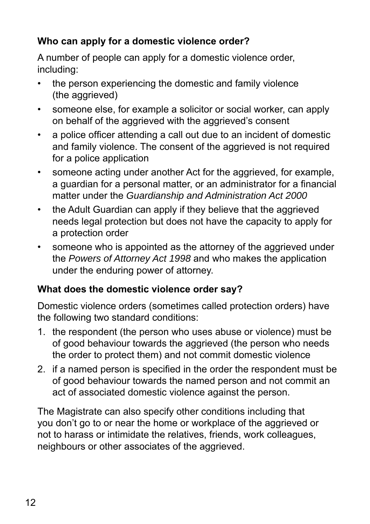### **Who can apply for a domestic violence order?**

A number of people can apply for a domestic violence order, including:

- the person experiencing the domestic and family violence (the aggrieved)
- someone else, for example a solicitor or social worker, can apply on behalf of the aggrieved with the aggrieved's consent
- a police officer attending a call out due to an incident of domestic and family violence. The consent of the aggrieved is not required for a police application
- someone acting under another Act for the aggrieved, for example, a guardian for a personal matter, or an administrator for a financial matter under the *Guardianship and Administration Act 2000*
- the Adult Guardian can apply if they believe that the aggrieved needs legal protection but does not have the capacity to apply for a protection order
- someone who is appointed as the attorney of the aggrieved under the *Powers of Attorney Act 1998* and who makes the application under the enduring power of attorney.

### **What does the domestic violence order say?**

Domestic violence orders (sometimes called protection orders) have the following two standard conditions:

- 1. the respondent (the person who uses abuse or violence) must be of good behaviour towards the aggrieved (the person who needs the order to protect them) and not commit domestic violence
- 2. If a named person is specified in the order the respondent must be of good behaviour towards the named person and not commit an act of associated domestic violence against the person.

The Magistrate can also specify other conditions including that you don't go to or near the home or workplace of the aggrieved or not to harass or intimidate the relatives, friends, work colleagues, neighbours or other associates of the aggrieved.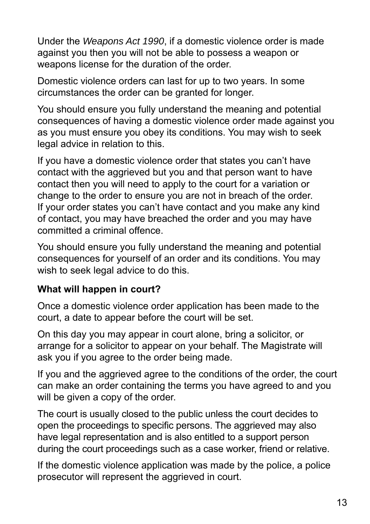Under the *Weapons Act 1990*, if a domestic violence order is made against you then you will not be able to possess a weapon or weapons license for the duration of the order.

Domestic violence orders can last for up to two years. In some circumstances the order can be granted for longer.

You should ensure you fully understand the meaning and potential consequences of having a domestic violence order made against you as you must ensure you obey its conditions. You may wish to seek legal advice in relation to this.

If you have a domestic violence order that states you can't have contact with the aggrieved but you and that person want to have contact then you will need to apply to the court for a variation or change to the order to ensure you are not in breach of the order. If your order states you can't have contact and you make any kind of contact, you may have breached the order and you may have committed a criminal offence.

You should ensure you fully understand the meaning and potential consequences for yourself of an order and its conditions. You may wish to seek legal advice to do this.

### **What will happen in court?**

Once a domestic violence order application has been made to the court, a date to appear before the court will be set.

On this day you may appear in court alone, bring a solicitor, or arrange for a solicitor to appear on your behalf. The Magistrate will ask you if you agree to the order being made.

If you and the aggrieved agree to the conditions of the order, the court can make an order containing the terms you have agreed to and you will be given a copy of the order.

The court is usually closed to the public unless the court decides to open the proceedings to specific persons. The aggrieved may also have legal representation and is also entitled to a support person during the court proceedings such as a case worker, friend or relative.

If the domestic violence application was made by the police, a police prosecutor will represent the aggrieved in court.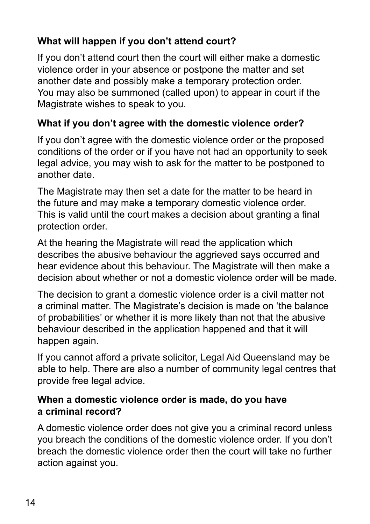### **What will happen if you don't attend court?**

If you don't attend court then the court will either make a domestic violence order in your absence or postpone the matter and set another date and possibly make a temporary protection order. You may also be summoned (called upon) to appear in court if the Magistrate wishes to speak to you.

### **What if you don't agree with the domestic violence order?**

If you don't agree with the domestic violence order or the proposed conditions of the order or if you have not had an opportunity to seek legal advice, you may wish to ask for the matter to be postponed to another date.

The Magistrate may then set a date for the matter to be heard in the future and may make a temporary domestic violence order. This is valid until the court makes a decision about granting a final protection order.

At the hearing the Magistrate will read the application which describes the abusive behaviour the aggrieved says occurred and hear evidence about this behaviour. The Magistrate will then make a decision about whether or not a domestic violence order will be made.

The decision to grant a domestic violence order is a civil matter not a criminal matter. The Magistrate's decision is made on 'the balance of probabilities' or whether it is more likely than not that the abusive behaviour described in the application happened and that it will happen again.

If you cannot afford a private solicitor, Legal Aid Queensland may be able to help. There are also a number of community legal centres that provide free legal advice.

### **When a domestic violence order is made, do you have a criminal record?**

A domestic violence order does not give you a criminal record unless you breach the conditions of the domestic violence order. If you don't breach the domestic violence order then the court will take no further action against you.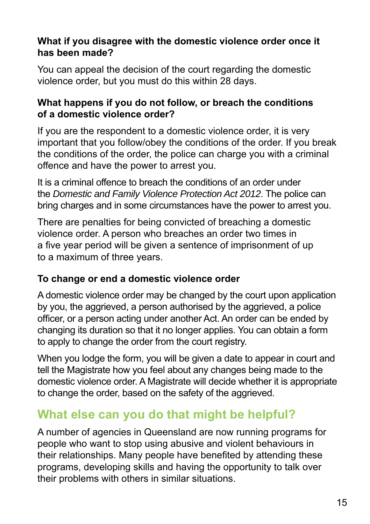### **What if you disagree with the domestic violence order once it has been made?**

You can appeal the decision of the court regarding the domestic violence order, but you must do this within 28 days.

#### **What happens if you do not follow, or breach the conditions of a domestic violence order?**

If you are the respondent to a domestic violence order, it is very important that you follow/obey the conditions of the order. If you break the conditions of the order, the police can charge you with a criminal offence and have the power to arrest you.

It is a criminal offence to breach the conditions of an order under the *Domestic and Family Violence Protection Act 2012*. The police can bring charges and in some circumstances have the power to arrest you.

There are penalties for being convicted of breaching a domestic violence order. A person who breaches an order two times in a five vear period will be given a sentence of imprisonment of up to a maximum of three years.

### **To change or end a domestic violence order**

A domestic violence order may be changed by the court upon application by you, the aggrieved, a person authorised by the aggrieved, a police officer, or a person acting under another Act. An order can be ended by changing its duration so that it no longer applies. You can obtain a form to apply to change the order from the court registry.

When you lodge the form, you will be given a date to appear in court and tell the Magistrate how you feel about any changes being made to the domestic violence order. A Magistrate will decide whether it is appropriate to change the order, based on the safety of the aggrieved.

# **What else can you do that might be helpful?**

A number of agencies in Queensland are now running programs for people who want to stop using abusive and violent behaviours in their relationships. Many people have benefited by attending these programs, developing skills and having the opportunity to talk over their problems with others in similar situations.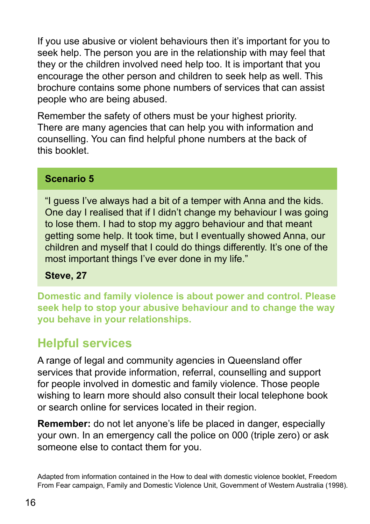If you use abusive or violent behaviours then it's important for you to seek help. The person you are in the relationship with may feel that they or the children involved need help too. It is important that you encourage the other person and children to seek help as well. This brochure contains some phone numbers of services that can assist people who are being abused.

Remember the safety of others must be your highest priority. There are many agencies that can help you with information and counselling. You can find helpful phone numbers at the back of this booklet.

### **Scenario 5**

"I guess I've always had a bit of a temper with Anna and the kids. One day I realised that if I didn't change my behaviour I was going to lose them. I had to stop my aggro behaviour and that meant getting some help. It took time, but I eventually showed Anna, our children and myself that I could do things differently. It's one of the most important things I've ever done in my life."

**Steve, 27**

**Domestic and family violence is about power and control. Please seek help to stop your abusive behaviour and to change the way you behave in your relationships.** 

# **Helpful services**

A range of legal and community agencies in Queensland offer services that provide information, referral, counselling and support for people involved in domestic and family violence. Those people wishing to learn more should also consult their local telephone book or search online for services located in their region.

**Remember:** do not let anyone's life be placed in danger, especially your own. In an emergency call the police on 000 (triple zero) or ask someone else to contact them for you.

Adapted from information contained in the How to deal with domestic violence booklet, Freedom From Fear campaign, Family and Domestic Violence Unit, Government of Western Australia (1998).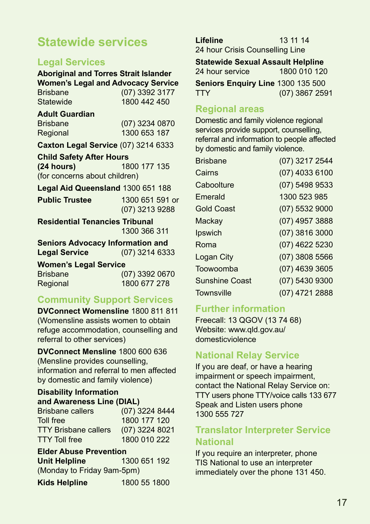# **Statewide services**

### **Legal Services**

**Aboriginal and Torres Strait Islander Women's Legal and Advocacy Service** Brisbane (07) 3392 3177<br>Statewide 1800 442 450 1800 442 450 **Adult Guardian**  Brisbane (07) 3234 0870<br>Regional 1300 653 187 1300 653 187 **Caxton Legal Service** (07) 3214 6333 **Child Safety After Hours (24 hours)** 1800 177 135 (for concerns about children)

**Legal Aid Queensland** 1300 651 188

**Public Trustee** 1300 651 591 or

(07) 3213 9288

**Residential Tenancies Tribunal**  1300 366 311

**Seniors Advocacy Information and<br>Legal Service (07) 3214 633 Legal Service** (07) 3214 6333

**Women's Legal Service**

Brisbane (07) 3392 0670 Regional 1800 677 278

### **Community Support Services**

**DVConnect Womensline** 1800 811 811 (Womensline assists women to obtain refuge accommodation, counselling and referral to other services)

**DVConnect Mensline** 1800 600 636 (Mensline provides counselling, information and referral to men affected by domestic and family violence)

### **Disability Information**

| and Awareness Line (DIAL)   |                |  |
|-----------------------------|----------------|--|
| <b>Brisbane callers</b>     | (07) 3224 8444 |  |
| Toll free                   | 1800 177 120   |  |
| <b>TTY Brisbane callers</b> | (07) 3224 8021 |  |
| <b>TTY Toll free</b>        | 1800 010 222   |  |

#### **Elder Abuse Prevention**

| Unit Helpline              | 1300 651 192 |  |
|----------------------------|--------------|--|
| (Monday to Friday 9am-5pm) |              |  |

| 1800 55 1800 |
|--------------|
|              |

**Lifeline** 13 11 14 24 hour Crisis Counselling Line

**Statewide Sexual Assault Helpline**<br>24 hour service **1800 010 120** 24 hour service

**Seniors Enquiry Line** 1300 135 500

TTY (07) 3867 2591

#### **Regional areas**

Domestic and family violence regional services provide support, counselling, referral and information to people affected by domestic and family violence.

| (07) 3217 2544   |
|------------------|
| (07) 4033 6100   |
| (07) 5498 9533   |
| 1300 523 985     |
| (07) 5532 9000   |
| (07) 4957 3888   |
| (07) 3816 3000   |
| (07) 4622 5230   |
| $(07)$ 3808 5566 |
| (07) 4639 3605   |
| (07) 5430 9300   |
| (07) 4721 2888   |
|                  |

#### **Further information**

Freecall: 13 QGOV (13 74 68) Website: www.qld.gov.au/ domesticviolence

### **National Relay Service**

If you are deaf, or have a hearing impairment or speech impairment, contact the National Relay Service on: TTY users phone TTY/voice calls 133 677 Speak and Listen users phone 1300 555 727

#### **Translator Interpreter Service National**

If you require an interpreter, phone TIS National to use an interpreter immediately over the phone 131 450.